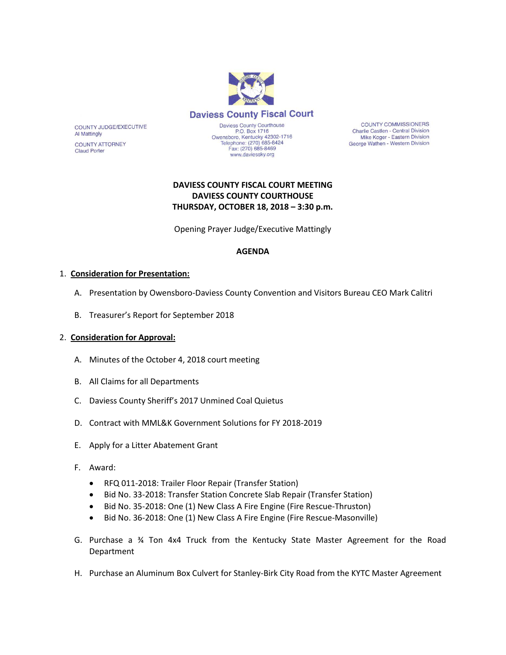

COUNTY JUDGE/EXECUTIVE **Al Mattingly** 

**COUNTY ATTORNEY Claud Porter** 

Daviess County Courthouse<br>P.O. Box 1716 Owensboro, Kentucky 42302-1716<br>Telephone: (270) 685-8424<br>Fax: (270) 685-8469 www.daviessky.org

**COUNTY COMMISSIONERS** Charlie Castlen - Central Division Mike Koger - Eastern Division George Wathen - Western Division

# **DAVIESS COUNTY FISCAL COURT MEETING DAVIESS COUNTY COURTHOUSE THURSDAY, OCTOBER 18, 2018 – 3:30 p.m.**

Opening Prayer Judge/Executive Mattingly

## **AGENDA**

## 1. **Consideration for Presentation:**

- A. Presentation by Owensboro-Daviess County Convention and Visitors Bureau CEO Mark Calitri
- B. Treasurer's Report for September 2018

## 2. **Consideration for Approval:**

- A. Minutes of the October 4, 2018 court meeting
- B. All Claims for all Departments
- C. Daviess County Sheriff's 2017 Unmined Coal Quietus
- D. Contract with MML&K Government Solutions for FY 2018-2019
- E. Apply for a Litter Abatement Grant
- F. Award:
	- RFQ 011-2018: Trailer Floor Repair (Transfer Station)
	- Bid No. 33-2018: Transfer Station Concrete Slab Repair (Transfer Station)
	- Bid No. 35-2018: One (1) New Class A Fire Engine (Fire Rescue-Thruston)
	- Bid No. 36-2018: One (1) New Class A Fire Engine (Fire Rescue-Masonville)
- G. Purchase a ¾ Ton 4x4 Truck from the Kentucky State Master Agreement for the Road Department
- H. Purchase an Aluminum Box Culvert for Stanley-Birk City Road from the KYTC Master Agreement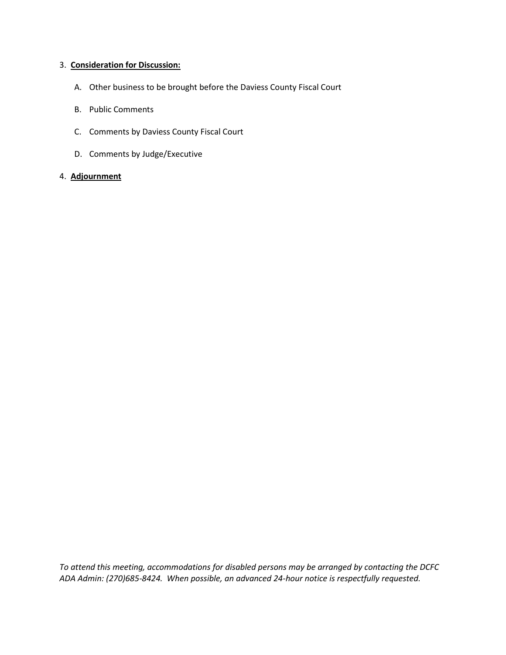#### 3. **Consideration for Discussion:**

- A. Other business to be brought before the Daviess County Fiscal Court
- B. Public Comments
- C. Comments by Daviess County Fiscal Court
- D. Comments by Judge/Executive

#### 4. **Adjournment**

*To attend this meeting, accommodations for disabled persons may be arranged by contacting the DCFC ADA Admin: (270)685-8424. When possible, an advanced 24-hour notice is respectfully requested.*